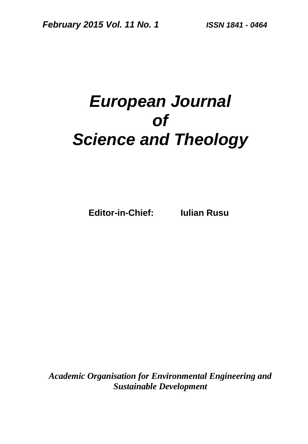# *European Journal of Science and Theology*

**Editor-in-Chief: Iulian Rusu**

*Academic Organisation for Environmental Engineering and Sustainable Development*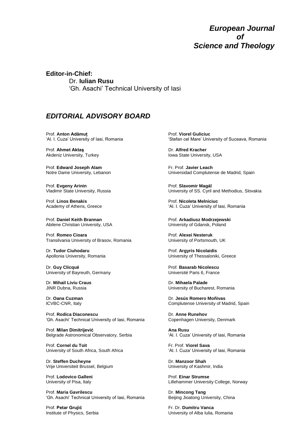#### *European Journal of Science and Theology*

**Editor-in-Chief:**  Dr. **Iulian Rusu** 'Gh. Asachi' Technical University of Iasi

#### *EDITORIAL ADVISORY BOARD*

Prof. **Anton Adămuţ** 'Al. I. Cuza' University of Iasi, Romania

Prof. **Ahmet Aktaş** Akdeniz University, Turkey

Prof. **Edward Joseph Alam** Notre Dame University, Lebanon

Prof. **Evgeny Arinin** Vladimir State University, Russia

Prof. **Linos Benakis** Academy of Athens, Greece

Prof. **Daniel Keith Brannan** Abilene Christian University, USA

Prof. **Romeo Cioara** Transilvania University of Brasov, Romania

Dr. **Tudor Ciuhodaru** Apollonia University, Romania

Dr. **Guy Clicqué** University of Bayreuth, Germany

Dr. **Mihail Liviu Craus** JINR Dubna, Russia

Dr. **Oana Cuzman** ICVBC-CNR, Italy

Prof. **Rodica Diaconescu** 'Gh. Asachi' Technical University of Iasi, Romania

Prof. **Milan Dimitrijević** Belgrade Astronomical Observatory, Serbia

Prof. **Cornel du Toit** University of South Africa, South Africa

Dr. **Steffen Ducheyne** Vrije Universiteit Brussel, Belgium

Prof. **Lodovico Galleni** University of Pisa, Italy

Prof. **Maria Gavrilescu** 'Gh. Asachi' Technical University of Iasi, Romania

Prof. **Petar Grujić** Institute of Physics, Serbia Prof. **Viorel Guliciuc** 'Stefan cel Mare' University of Suceava, Romania

Dr. **Alfred Kracher** Iowa State University, USA

Fr. Prof. **Javier Leach** Universidad Complutense de Madrid, Spain

Prof. **Slavomir Magál** University of SS. Cyril and Methodius, Slovakia

Prof. **Nicoleta Melniciuc** 'Al. I. Cuza' University of Iasi, Romania

Prof. **Arkadiusz Modrzejewski** University of Gdansk, Poland

Prof. **Alexei Nesteruk** University of Portsmouth, UK

Prof. **Argyris Nicolaidis** University of Thessaloniki, Greece

Prof. **Basarab Nicolescu** Université Paris 6, France

Dr. **Mihaela Palade** University of Bucharest, Romania

Dr. **Jesús Romero Moñivas** Complutense University of Madrid, Spain

Dr. **Anne Runehov** Copenhagen University, Denmark

**Ana Rusu** 'Al. I. Cuza' University of Iasi, Romania

Fr. Prof. **Viorel Sava** 'Al. I. Cuza' University of Iasi, Romania

Dr. **Manzoor Shah** University of Kashmir, India

Prof. **Einar Strumse** Lillehammer University College, Norway

Dr. **Mincong Tang** Beijing Jioatong University, China

Fr. Dr. **Dumitru Vanca** University of Alba Iulia, Romania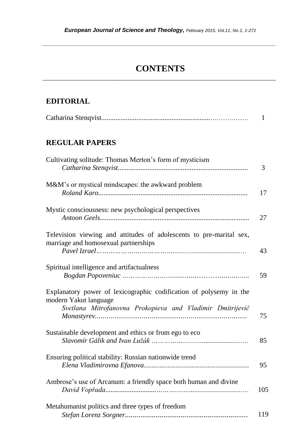*\_\_\_\_\_\_\_\_\_\_\_\_\_\_\_\_\_\_\_\_\_\_\_\_\_\_\_\_\_\_\_\_\_\_\_\_\_\_\_\_\_\_\_\_\_\_\_\_\_\_\_\_\_\_\_\_\_\_\_\_\_\_\_\_\_\_\_\_\_\_\_\_\_*

## **CONTENTS** \_\_\_\_\_\_\_\_\_\_\_\_\_\_\_\_\_\_\_\_\_\_\_\_\_\_\_\_\_\_\_\_\_\_\_\_\_\_\_\_\_\_\_\_\_\_\_\_\_\_\_\_\_\_\_\_\_\_\_\_\_\_\_\_\_\_\_\_\_\_\_\_\_

#### **EDITORIAL**

|--|--|

## **REGULAR PAPERS**

| Cultivating solitude: Thomas Merton's form of mysticism                                                                                                  | 3   |
|----------------------------------------------------------------------------------------------------------------------------------------------------------|-----|
| M&M's or mystical mindscapes: the awkward problem                                                                                                        | 17  |
| Mystic consciousness: new psychological perspectives                                                                                                     | 27  |
| Television viewing and attitudes of adolescents to pre-marital sex,<br>marriage and homosexual partnerships                                              | 43  |
| Spiritual intelligence and artifactualness                                                                                                               | 59  |
| Explanatory power of lexicographic codification of polysemy in the<br>modern Yakut language<br>Svetlana Mitrofanovna Prokopieva and Vladimir Dmitrijevič | 75  |
| Sustainable development and ethics or from ego to eco                                                                                                    | 85  |
| Ensuring political stability: Russian nationwide trend                                                                                                   | 95  |
| Ambrose's use of Arcanum: a friendly space both human and divine                                                                                         | 105 |
| Metahumanist politics and three types of freedom                                                                                                         | 119 |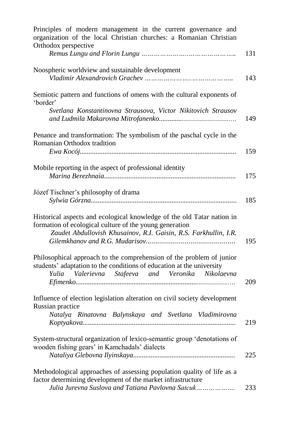| Principles of modern management in the current governance and<br>organization of the local Christian churches: a Romanian Christian<br>Orthodox perspective                                           |     |
|-------------------------------------------------------------------------------------------------------------------------------------------------------------------------------------------------------|-----|
|                                                                                                                                                                                                       | 131 |
| Noospheric worldview and sustainable development                                                                                                                                                      | 143 |
| Semiotic pattern and functions of omens with the cultural exponents of<br>'border'                                                                                                                    |     |
| Svetlana Konstantinovna Strausova, Victor Nikitovich Strausov                                                                                                                                         | 149 |
| Penance and transformation: The symbolism of the paschal cycle in the<br>Romanian Orthodox tradition                                                                                                  |     |
|                                                                                                                                                                                                       | 159 |
| Mobile reporting in the aspect of professional identity                                                                                                                                               | 175 |
| Józef Tischner's philosophy of drama                                                                                                                                                                  | 185 |
| Historical aspects and ecological knowledge of the old Tatar nation in<br>formation of ecological culture of the young generation<br>Zaudet Abdullovish Khusainov, R.I. Gaisin, R.S. Farkhullin, I.R. | 195 |
| Philosophical approach to the comprehension of the problem of junior<br>students' adaptation to the conditions of education at the university<br>Yulia Valerievna Stafeeva and Veronika Nikolaevna    | 209 |
| Influence of election legislation alteration on civil society development<br>Russian practice                                                                                                         |     |
| Natalya Rinatovna Balynskaya and Svetlana Vladimirovna                                                                                                                                                | 219 |
| System-structural organization of lexico-semantic group 'denotations of<br>wooden fishing gears' in Kamchadals' dialects                                                                              | 225 |
| Methodological approaches of assessing population quality of life as a<br>factor determining development of the market infrastructure<br>Julia Jurevna Suslova and Tatiana Pavlovna Satcuk            | 233 |
|                                                                                                                                                                                                       |     |